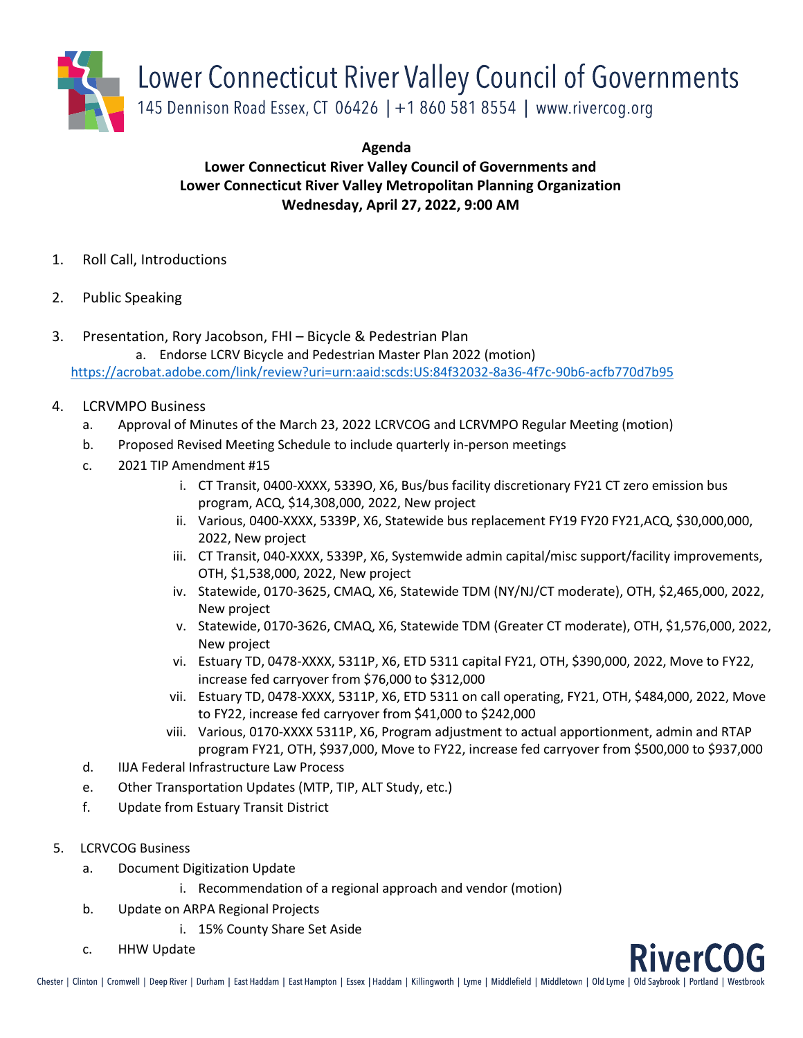

**Agenda**

## **Lower Connecticut River Valley Council of Governments and Lower Connecticut River Valley Metropolitan Planning Organization Wednesday, April 27, 2022, 9:00 AM**

- 1. Roll Call, Introductions
- 2. Public Speaking
- 3. Presentation, Rory Jacobson, FHI Bicycle & Pedestrian Plan

a. Endorse LCRV Bicycle and Pedestrian Master Plan 2022 (motion) <https://acrobat.adobe.com/link/review?uri=urn:aaid:scds:US:84f32032-8a36-4f7c-90b6-acfb770d7b95>

## 4. LCRVMPO Business

- a. Approval of Minutes of the March 23, 2022 LCRVCOG and LCRVMPO Regular Meeting (motion)
- b. Proposed Revised Meeting Schedule to include quarterly in-person meetings
- c. 2021 TIP Amendment #15
	- i. CT Transit, 0400-XXXX, 5339O, X6, Bus/bus facility discretionary FY21 CT zero emission bus program, ACQ, \$14,308,000, 2022, New project
	- ii. Various, 0400-XXXX, 5339P, X6, Statewide bus replacement FY19 FY20 FY21,ACQ, \$30,000,000, 2022, New project
	- iii. CT Transit, 040-XXXX, 5339P, X6, Systemwide admin capital/misc support/facility improvements, OTH, \$1,538,000, 2022, New project
	- iv. Statewide, 0170-3625, CMAQ, X6, Statewide TDM (NY/NJ/CT moderate), OTH, \$2,465,000, 2022, New project
	- v. Statewide, 0170-3626, CMAQ, X6, Statewide TDM (Greater CT moderate), OTH, \$1,576,000, 2022, New project
	- vi. Estuary TD, 0478-XXXX, 5311P, X6, ETD 5311 capital FY21, OTH, \$390,000, 2022, Move to FY22, increase fed carryover from \$76,000 to \$312,000
	- vii. Estuary TD, 0478-XXXX, 5311P, X6, ETD 5311 on call operating, FY21, OTH, \$484,000, 2022, Move to FY22, increase fed carryover from \$41,000 to \$242,000
	- viii. Various, 0170-XXXX 5311P, X6, Program adjustment to actual apportionment, admin and RTAP program FY21, OTH, \$937,000, Move to FY22, increase fed carryover from \$500,000 to \$937,000
- d. IIJA Federal Infrastructure Law Process
- e. Other Transportation Updates (MTP, TIP, ALT Study, etc.)
- f. Update from Estuary Transit District
- 5. LCRVCOG Business
	- a. Document Digitization Update
		- i. Recommendation of a regional approach and vendor (motion)
	- b. Update on ARPA Regional Projects
		- i. 15% County Share Set Aside
	- c. HHW Update